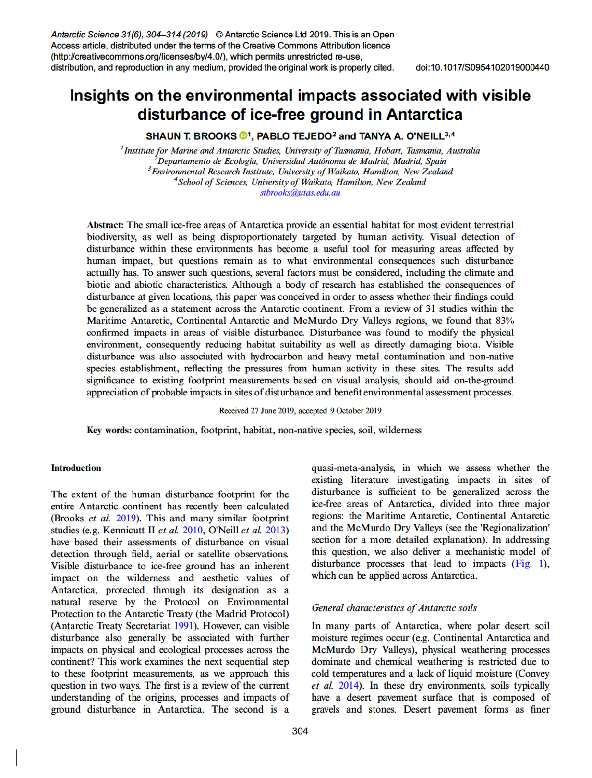Antarctic Science 31(6), 304-314 (2019) © Antarctic Science Ltd 2019. This is an Open Access article, distributed under the terms of the Creative Commons Attribution licence (http://creativecommons.org/licenses/by/4.0/), which permits unrestricted re-use, distribution, and reproduction in any medium, provided the original work is properly cited.

# Insights on the environmental impacts associated with visible disturbance of ice-free ground in Antarctica

SHAUN T. BROOKS <sup>1</sup>, PABLO TEJEDO<sup>2</sup> and TANYA A. O'NEILL<sup>3,4</sup>

<sup>1</sup>Institute for Marine and Antarctic Studies, University of Tasmania, Hobart, Tasmania, Australia<br><sup>2</sup>Departamento de Ecología, Universidad Autónoma de Madrid, Madrid, Spain <sup>3</sup> Environmental Research Institute, University of Waikato, Hamilton, New Zealand <sup>4</sup>School of Sciences, University of Waikato, Hamilton, New Zealand stbrooks@utas.edu.au

Abstract: The small ice-free areas of Antarctica provide an essential habitat for most evident terrestrial biodiversity, as well as being disproportionately targeted by human activity. Visual detection of disturbance within these environments has become a useful tool for measuring areas affected by human impact, but questions remain as to what environmental consequences such disturbance actually has. To answer such questions, several factors must be considered, including the climate and biotic and abiotic characteristics. Although a body of research has established the consequences of disturbance at given locations, this paper was conceived in order to assess whether their findings could be generalized as a statement across the Antarctic continent. From a review of 31 studies within the Maritime Antarctic, Continental Antarctic and McMurdo Dry Valleys regions, we found that 83% confirmed impacts in areas of visible disturbance. Disturbance was found to modify the physical environment, consequently reducing habitat suitability as well as directly damaging biota. Visible disturbance was also associated with hydrocarbon and heavy metal contamination and non-native species establishment, reflecting the pressures from human activity in these sites. The results add significance to existing footprint measurements based on visual analysis, should aid on-the-ground appreciation of probable impacts in sites of disturbance and benefit environmental assessment processes.

Received 27 June 2019, accepted 9 October 2019

Key words: contamination, footprint, habitat, non-native species, soil, wilderness

# **Introduction**

The extent of the human disturbance footprint for the entire Antarctic continent has recently been calculated (Brooks et al. 2019). This and many similar footprint studies (e.g. Kennicutt II et al. 2010, O'Neill et al. 2013) have based their assessments of disturbance on visual detection through field, aerial or satellite observations. Visible disturbance to ice-free ground has an inherent impact on the wilderness and aesthetic values of Antarctica, protected through its designation as a natural reserve by the Protocol on Environmental Protection to the Antarctic Treaty (the Madrid Protocol) (Antarctic Treaty Secretariat 1991). However, can visible disturbance also generally be associated with further impacts on physical and ecological processes across the continent? This work examines the next sequential step to these footprint measurements, as we approach this question in two ways. The first is a review of the current understanding of the origins, processes and impacts of ground disturbance in Antarctica. The second is a

quasi-meta-analysis, in which we assess whether the existing literature investigating impacts in sites of disturbance is sufficient to be generalized across the ice-free areas of Antarctica, divided into three major regions: the Maritime Antarctic, Continental Antarctic and the McMurdo Dry Valleys (see the 'Regionalization' section for a more detailed explanation). In addressing this question, we also deliver a mechanistic model of disturbance processes that lead to impacts (Fig. 1), which can be applied across Antarctica.

#### General characteristics of Antarctic soils

In many parts of Antarctica, where polar desert soil moisture regimes occur (e.g. Continental Antarctica and McMurdo Dry Valleys), physical weathering processes dominate and chemical weathering is restricted due to cold temperatures and a lack of liquid moisture (Convey *et al.* 2014). In these dry environments, soils typically have a desert pavement surface that is composed of gravels and stones. Desert pavement forms as finer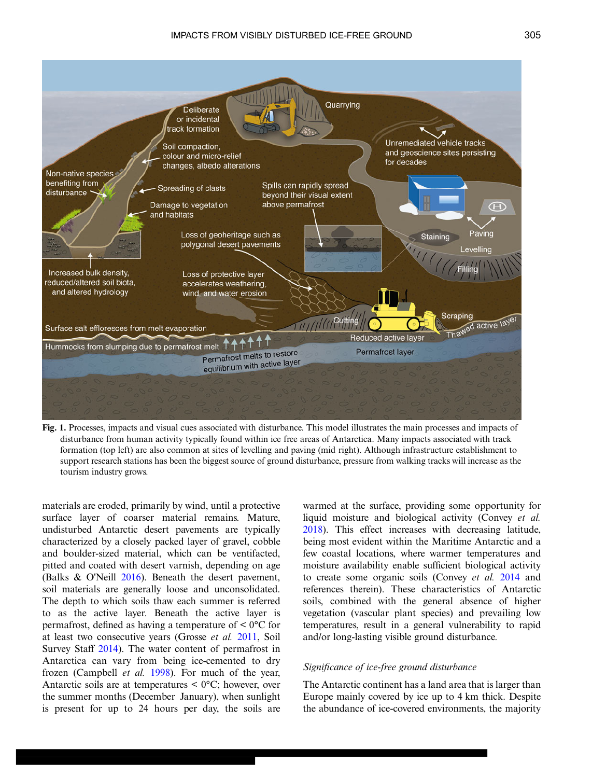<span id="page-1-0"></span>

Fig. 1. Processes, impacts and visual cues associated with disturbance. This model illustrates the main processes and impacts of disturbance from human activity typically found within ice free areas of Antarctica. Many impacts associated with track formation (top left) are also common at sites of levelling and paving (mid right). Although infrastructure establishment to support research stations has been the biggest source of ground disturbance, pressure from walking tracks will increase as the tourism industry grows.

materials are eroded, primarily by wind, until a protective surface layer of coarser material remains. Mature, undisturbed Antarctic desert pavements are typically characterized by a closely packed layer of gravel, cobble and boulder-sized material, which can be ventifacted, pitted and coated with desert varnish, depending on age (Balks & O'Neill [2016\)](#page-8-0). Beneath the desert pavement, soil materials are generally loose and unconsolidated. The depth to which soils thaw each summer is referred to as the active layer. Beneath the active layer is permafrost, defined as having a temperature of  $\leq 0^{\circ}$ C for at least two consecutive years (Grosse et al. [2011,](#page-9-0) Soil Survey Staff [2014\)](#page-10-0). The water content of permafrost in Antarctica can vary from being ice-cemented to dry frozen (Campbell et al. [1998](#page-9-0)). For much of the year, Antarctic soils are at temperatures  $\leq 0^{\circ}$ C; however, over the summer months (December January), when sunlight is present for up to 24 hours per day, the soils are

warmed at the surface, providing some opportunity for liquid moisture and biological activity (Convey et al. [2018\)](#page-9-0). This effect increases with decreasing latitude, being most evident within the Maritime Antarctic and a few coastal locations, where warmer temperatures and moisture availability enable sufficient biological activity to create some organic soils (Convey et al. [2014](#page-9-0) and references therein). These characteristics of Antarctic soils, combined with the general absence of higher vegetation (vascular plant species) and prevailing low temperatures, result in a general vulnerability to rapid and/or long-lasting visible ground disturbance.

## Significance of ice-free ground disturbance

The Antarctic continent has a land area that is larger than Europe mainly covered by ice up to 4 km thick. Despite the abundance of ice-covered environments, the majority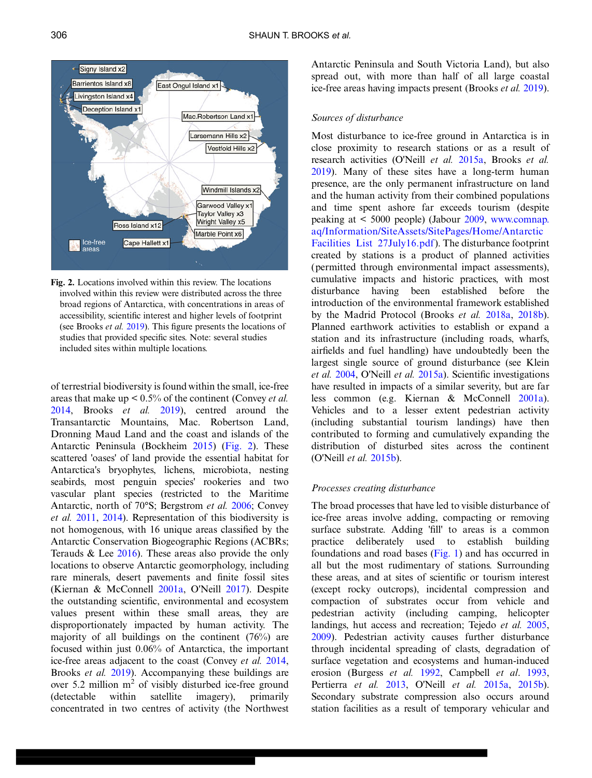<span id="page-2-0"></span>

Fig. 2. Locations involved within this review. The locations involved within this review were distributed across the three broad regions of Antarctica, with concentrations in areas of accessibility, scientific interest and higher levels of footprint (see Brooks et al. [2019](#page-8-0)). This figure presents the locations of studies that provided specific sites. Note: several studies included sites within multiple locations.

of terrestrial biodiversity is found within the small, ice-free areas that make up  $\leq 0.5\%$  of the continent (Convey *et al.*) [2014](#page-9-0), Brooks et al. [2019](#page-8-0)), centred around the Transantarctic Mountains, Mac. Robertson Land, Dronning Maud Land and the coast and islands of the Antarctic Peninsula (Bockheim [2015](#page-8-0)) (Fig. 2). These scattered 'oases' of land provide the essential habitat for Antarctica's bryophytes, lichens, microbiota, nesting seabirds, most penguin species' rookeries and two vascular plant species (restricted to the Maritime Antarctic, north of 70°S; Bergstrom et al. [2006;](#page-8-0) Convey et al. [2011,](#page-9-0) [2014](#page-9-0)). Representation of this biodiversity is not homogenous, with 16 unique areas classified by the Antarctic Conservation Biogeographic Regions (ACBRs; Terauds & Lee [2016\)](#page-10-0). These areas also provide the only locations to observe Antarctic geomorphology, including rare minerals, desert pavements and finite fossil sites (Kiernan & McConnell [2001a](#page-9-0), O'Neill [2017](#page-9-0)). Despite the outstanding scientific, environmental and ecosystem values present within these small areas, they are disproportionately impacted by human activity. The majority of all buildings on the continent (76%) are focused within just 0.06% of Antarctica, the important ice-free areas adjacent to the coast (Convey et al. [2014,](#page-9-0) Brooks *et al.* [2019\)](#page-8-0). Accompanying these buildings are over 5.2 million  $m<sup>2</sup>$  of visibly disturbed ice-free ground (detectable within satellite imagery), primarily concentrated in two centres of activity (the Northwest Antarctic Peninsula and South Victoria Land), but also spread out, with more than half of all large coastal ice-free areas having impacts present (Brooks et al. [2019\)](#page-8-0).

# Sources of disturbance

Most disturbance to ice-free ground in Antarctica is in close proximity to research stations or as a result of research activities (O'Neill et al. [2015a,](#page-9-0) Brooks et al. [2019](#page-8-0)). Many of these sites have a long-term human presence, are the only permanent infrastructure on land and the human activity from their combined populations and time spent ashore far exceeds tourism (despite peaking at < 5000 people) (Jabour [2009](#page-9-0), www.comnap. aq/Information/SiteAssets/SitePages/Home/Antarctic Facilities List 27July16.pdf). The disturbance footprint created by stations is a product of planned activities (permitted through environmental impact assessments), cumulative impacts and historic practices, with most disturbance having been established before the introduction of the environmental framework established by the Madrid Protocol (Brooks et al. [2018a,](#page-8-0) [2018b\)](#page-8-0). Planned earthwork activities to establish or expand a station and its infrastructure (including roads, wharfs, airfields and fuel handling) have undoubtedly been the largest single source of ground disturbance (see Klein et al. [2004,](#page-9-0) O'Neill et al. [2015a\)](#page-9-0). Scientific investigations have resulted in impacts of a similar severity, but are far less common (e.g. Kiernan & McConnell [2001a\)](#page-9-0). Vehicles and to a lesser extent pedestrian activity (including substantial tourism landings) have then contributed to forming and cumulatively expanding the distribution of disturbed sites across the continent (O'Neill et al. [2015b](#page-9-0)).

# Processes creating disturbance

The broad processes that have led to visible disturbance of ice-free areas involve adding, compacting or removing surface substrate. Adding 'fill' to areas is a common practice deliberately used to establish building foundations and road bases  $(Fig. 1)$  and has occurred in all but the most rudimentary of stations. Surrounding these areas, and at sites of scientific or tourism interest (except rocky outcrops), incidental compression and compaction of substrates occur from vehicle and pedestrian activity (including camping, helicopter landings, hut access and recreation; Tejedo *et al.* [2005](#page-10-0), [2009](#page-10-0)). Pedestrian activity causes further disturbance through incidental spreading of clasts, degradation of surface vegetation and ecosystems and human-induced erosion (Burgess et al. [1992,](#page-8-0) Campbell et al. [1993](#page-8-0), Pertierra et al. [2013](#page-9-0), O'Neill et al. [2015a,](#page-9-0) [2015b\)](#page-9-0). Secondary substrate compression also occurs around station facilities as a result of temporary vehicular and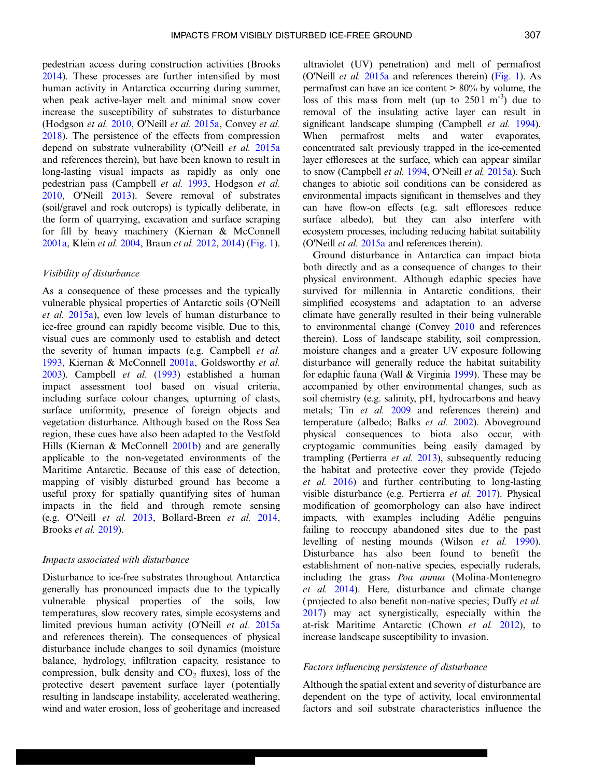pedestrian access during construction activities (Brooks [2014\)](#page-8-0). These processes are further intensified by most human activity in Antarctica occurring during summer, when peak active-layer melt and minimal snow cover increase the susceptibility of substrates to disturbance (Hodgson et al. [2010](#page-9-0), O'Neill et al. [2015a,](#page-9-0) Convey et al. [2018\)](#page-9-0). The persistence of the effects from compression depend on substrate vulnerability (O'Neill et al. [2015a](#page-9-0) and references therein), but have been known to result in long-lasting visual impacts as rapidly as only one pedestrian pass (Campbell et al. [1993,](#page-8-0) Hodgson et al. [2010,](#page-9-0) O'Neill [2013](#page-9-0)). Severe removal of substrates (soil/gravel and rock outcrops) is typically deliberate, in the form of quarrying, excavation and surface scraping for fill by heavy machinery (Kiernan & McConnell [2001a,](#page-9-0) Klein et al. [2004](#page-9-0), Braun et al. [2012,](#page-8-0) [2014\)](#page-8-0) ([Fig. 1](#page-1-0)).

# Visibility of disturbance

As a consequence of these processes and the typically vulnerable physical properties of Antarctic soils (O'Neill et al. [2015a](#page-9-0)), even low levels of human disturbance to ice-free ground can rapidly become visible. Due to this, visual cues are commonly used to establish and detect the severity of human impacts (e.g. Campbell et al. [1993,](#page-8-0) Kiernan & McConnell [2001a,](#page-9-0) Goldsworthy et al. [2003\)](#page-9-0). Campbell et al. [\(1993](#page-8-0)) established a human impact assessment tool based on visual criteria, including surface colour changes, upturning of clasts, surface uniformity, presence of foreign objects and vegetation disturbance. Although based on the Ross Sea region, these cues have also been adapted to the Vestfold Hills (Kiernan & McConnell [2001b\)](#page-9-0) and are generally applicable to the non-vegetated environments of the Maritime Antarctic. Because of this ease of detection, mapping of visibly disturbed ground has become a useful proxy for spatially quantifying sites of human impacts in the field and through remote sensing (e.g. O'Neill et al. [2013,](#page-9-0) Bollard-Breen et al. [2014](#page-8-0), Brooks et al. [2019\)](#page-8-0).

#### Impacts associated with disturbance

Disturbance to ice-free substrates throughout Antarctica generally has pronounced impacts due to the typically vulnerable physical properties of the soils, low temperatures, slow recovery rates, simple ecosystems and limited previous human activity (O'Neill et al. [2015a](#page-9-0) and references therein). The consequences of physical disturbance include changes to soil dynamics (moisture balance, hydrology, infiltration capacity, resistance to compression, bulk density and  $CO<sub>2</sub>$  fluxes), loss of the protective desert pavement surface layer (potentially resulting in landscape instability, accelerated weathering, wind and water erosion, loss of geoheritage and increased

ultraviolet (UV) penetration) and melt of permafrost (O'Neill et al. [2015a](#page-9-0) and references therein) [\(Fig. 1](#page-1-0)). As permafrost can have an ice content  $> 80\%$  by volume, the loss of this mass from melt (up to  $2501 \text{ m}^{-3}$ ) due to removal of the insulating active layer can result in significant landscape slumping (Campbell *et al.* [1994](#page-8-0)). When permafrost melts and water evaporates, concentrated salt previously trapped in the ice-cemented layer effloresces at the surface, which can appear similar to snow (Campbell et al. [1994](#page-8-0), O'Neill et al. [2015a](#page-9-0)). Such changes to abiotic soil conditions can be considered as environmental impacts significant in themselves and they can have flow-on effects (e.g. salt effloresces reduce surface albedo), but they can also interfere with ecosystem processes, including reducing habitat suitability (O'Neill et al. [2015a](#page-9-0) and references therein).

Ground disturbance in Antarctica can impact biota both directly and as a consequence of changes to their physical environment. Although edaphic species have survived for millennia in Antarctic conditions, their simplified ecosystems and adaptation to an adverse climate have generally resulted in their being vulnerable to environmental change (Convey [2010](#page-9-0) and references therein). Loss of landscape stability, soil compression, moisture changes and a greater UV exposure following disturbance will generally reduce the habitat suitability for edaphic fauna (Wall & Virginia [1999\)](#page-10-0). These may be accompanied by other environmental changes, such as soil chemistry (e.g. salinity, pH, hydrocarbons and heavy metals; Tin et al. [2009](#page-10-0) and references therein) and temperature (albedo; Balks et al. [2002](#page-8-0)). Aboveground physical consequences to biota also occur, with cryptogamic communities being easily damaged by trampling (Pertierra et al. [2013\)](#page-9-0), subsequently reducing the habitat and protective cover they provide (Tejedo et al. [2016](#page-10-0)) and further contributing to long-lasting visible disturbance (e.g. Pertierra et al. [2017\)](#page-9-0). Physical modification of geomorphology can also have indirect impacts, with examples including Adélie penguins failing to reoccupy abandoned sites due to the past levelling of nesting mounds (Wilson et al. [1990](#page-10-0)). Disturbance has also been found to benefit the establishment of non-native species, especially ruderals, including the grass Poa annua (Molina-Montenegro et al. [2014\)](#page-9-0). Here, disturbance and climate change (projected to also benefit non-native species; Duffy et al. [2017\)](#page-9-0) may act synergistically, especially within the at-risk Maritime Antarctic (Chown et al. [2012\)](#page-9-0), to increase landscape susceptibility to invasion.

#### Factors influencing persistence of disturbance

Although the spatial extent and severity of disturbance are dependent on the type of activity, local environmental factors and soil substrate characteristics influence the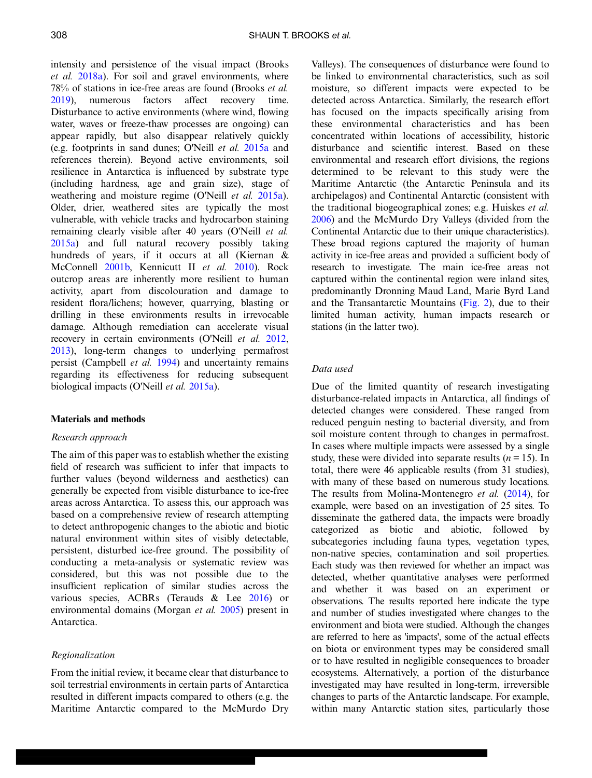intensity and persistence of the visual impact (Brooks et al. [2018a](#page-8-0)). For soil and gravel environments, where 78% of stations in ice-free areas are found (Brooks et al. [2019](#page-8-0)), numerous factors affect recovery time. Disturbance to active environments (where wind, flowing water, waves or freeze-thaw processes are ongoing) can appear rapidly, but also disappear relatively quickly (e.g. footprints in sand dunes; O'Neill et al. [2015a](#page-9-0) and references therein). Beyond active environments, soil resilience in Antarctica is influenced by substrate type (including hardness, age and grain size), stage of weathering and moisture regime (O'Neill *et al.* [2015a\)](#page-9-0). Older, drier, weathered sites are typically the most vulnerable, with vehicle tracks and hydrocarbon staining remaining clearly visible after 40 years (O'Neill et al. [2015a](#page-9-0)) and full natural recovery possibly taking hundreds of years, if it occurs at all (Kiernan & McConnell [2001b,](#page-9-0) Kennicutt II et al. [2010\)](#page-9-0). Rock outcrop areas are inherently more resilient to human activity, apart from discolouration and damage to resident flora/lichens; however, quarrying, blasting or drilling in these environments results in irrevocable damage. Although remediation can accelerate visual recovery in certain environments (O'Neill et al. [2012,](#page-9-0) [2013](#page-9-0)), long-term changes to underlying permafrost persist (Campbell et al. [1994\)](#page-8-0) and uncertainty remains regarding its effectiveness for reducing subsequent biological impacts (O'Neill *et al.* [2015a](#page-9-0)).

#### Materials and methods

#### Research approach

The aim of this paper was to establish whether the existing field of research was sufficient to infer that impacts to further values (beyond wilderness and aesthetics) can generally be expected from visible disturbance to ice-free areas across Antarctica. To assess this, our approach was based on a comprehensive review of research attempting to detect anthropogenic changes to the abiotic and biotic natural environment within sites of visibly detectable, persistent, disturbed ice-free ground. The possibility of conducting a meta-analysis or systematic review was considered, but this was not possible due to the insufficient replication of similar studies across the various species, ACBRs (Terauds & Lee [2016\)](#page-10-0) or environmental domains (Morgan et al. [2005\)](#page-9-0) present in Antarctica.

#### Regionalization

From the initial review, it became clear that disturbance to soil terrestrial environments in certain parts of Antarctica resulted in different impacts compared to others (e.g. the Maritime Antarctic compared to the McMurdo Dry

Valleys). The consequences of disturbance were found to be linked to environmental characteristics, such as soil moisture, so different impacts were expected to be detected across Antarctica. Similarly, the research effort has focused on the impacts specifically arising from these environmental characteristics and has been concentrated within locations of accessibility, historic disturbance and scientific interest. Based on these environmental and research effort divisions, the regions determined to be relevant to this study were the Maritime Antarctic (the Antarctic Peninsula and its archipelagos) and Continental Antarctic (consistent with the traditional biogeographical zones; e.g. Huiskes et al. [2006](#page-9-0)) and the McMurdo Dry Valleys (divided from the Continental Antarctic due to their unique characteristics). These broad regions captured the majority of human activity in ice-free areas and provided a sufficient body of research to investigate. The main ice-free areas not captured within the continental region were inland sites, predominantly Dronning Maud Land, Marie Byrd Land and the Transantarctic Mountains ([Fig. 2\)](#page-2-0), due to their limited human activity, human impacts research or stations (in the latter two).

# Data used

Due of the limited quantity of research investigating disturbance-related impacts in Antarctica, all findings of detected changes were considered. These ranged from reduced penguin nesting to bacterial diversity, and from soil moisture content through to changes in permafrost. In cases where multiple impacts were assessed by a single study, these were divided into separate results ( $n = 15$ ). In total, there were 46 applicable results (from 31 studies), with many of these based on numerous study locations. The results from Molina-Montenegro et al. [\(2014](#page-9-0)), for example, were based on an investigation of 25 sites. To disseminate the gathered data, the impacts were broadly categorized as biotic and abiotic, followed by subcategories including fauna types, vegetation types, non-native species, contamination and soil properties. Each study was then reviewed for whether an impact was detected, whether quantitative analyses were performed and whether it was based on an experiment or observations. The results reported here indicate the type and number of studies investigated where changes to the environment and biota were studied. Although the changes are referred to here as 'impacts', some of the actual effects on biota or environment types may be considered small or to have resulted in negligible consequences to broader ecosystems. Alternatively, a portion of the disturbance investigated may have resulted in long-term, irreversible changes to parts of the Antarctic landscape. For example, within many Antarctic station sites, particularly those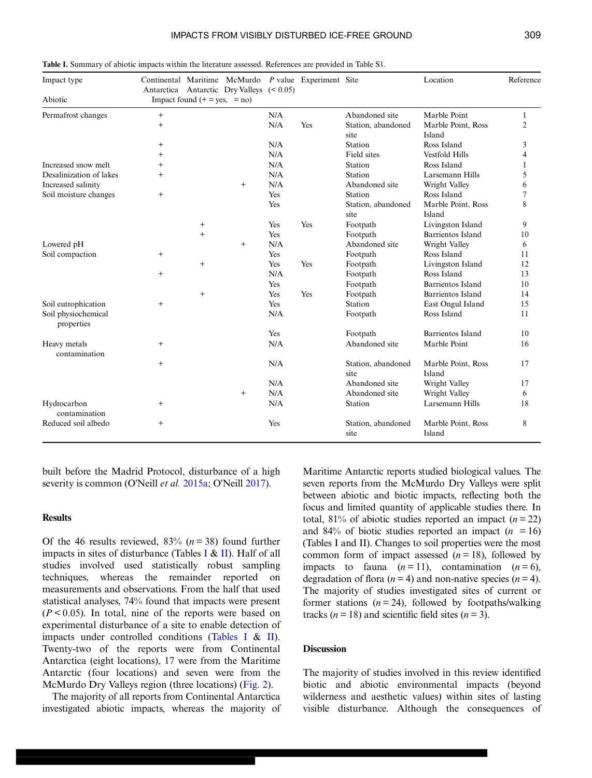| Impact type                       | Continental Maritime<br>Antarctica           |        | McMurdo<br>Antarctic Dry Valleys $(0.05)$ |            | P value Experiment Site |                            | Location                     | Reference |  |  |
|-----------------------------------|----------------------------------------------|--------|-------------------------------------------|------------|-------------------------|----------------------------|------------------------------|-----------|--|--|
| Abiotic                           | Impact found $(+ = \text{ves}, = \text{no})$ |        |                                           |            |                         |                            |                              |           |  |  |
| Permafrost changes                | $^{+}$                                       |        |                                           | N/A        |                         | Abandoned site             | Marble Point                 | 1         |  |  |
|                                   | $^{+}$                                       |        |                                           | N/A        | Yes                     | Station, abandoned<br>site | Marble Point, Ross<br>Island | 2         |  |  |
|                                   | $^{+}$                                       |        |                                           | N/A        |                         | Station                    | Ross Island                  | 3         |  |  |
|                                   | $^{+}$                                       |        |                                           | N/A        |                         | Field sites                | <b>Vestfold Hills</b>        | 4         |  |  |
| Increased snow melt               | $^{+}$                                       |        |                                           | N/A        |                         | Station                    | Ross Island                  | 1         |  |  |
| Desalinization of lakes           | $^{+}$                                       |        |                                           | N/A        |                         | Station                    | Larsemann Hills              | 5         |  |  |
| Increased salinity                |                                              |        | $\ddot{}$                                 | N/A        |                         | Abandoned site             | Wright Valley                | 6         |  |  |
| Soil moisture changes             | $^{+}$                                       |        |                                           | Yes        |                         | Station                    | Ross Island                  | 7         |  |  |
|                                   |                                              |        |                                           | Yes        |                         | Station, abandoned<br>site | Marble Point, Ross<br>Island | 8         |  |  |
|                                   |                                              | $^{+}$ |                                           | Yes        | Yes                     | Footpath                   | Livingston Island            | 9         |  |  |
|                                   |                                              | $+$    |                                           | Yes        |                         | Footpath                   | Barrientos Island            | 10        |  |  |
| Lowered pH                        |                                              |        | $^{+}$                                    | N/A        |                         | Abandoned site             | Wright Valley                | 6         |  |  |
| Soil compaction                   | $^{+}$                                       |        |                                           | Yes        |                         | Footpath                   | Ross Island                  | 11        |  |  |
|                                   |                                              | $^{+}$ |                                           | Yes        | Yes                     | Footpath                   | Livingston Island            | 12        |  |  |
|                                   | $+$                                          |        |                                           | N/A        |                         | Footpath                   | Ross Island                  | 13        |  |  |
|                                   |                                              |        |                                           | <b>Yes</b> |                         | Footpath                   | Barrientos Island            | 10        |  |  |
|                                   |                                              | $+$    |                                           | Yes        | Yes                     | Footpath                   | Barrientos Island            | 14        |  |  |
| Soil eutrophication               | $+$                                          |        |                                           | Yes        |                         | Station                    | East Ongul Island            | 15        |  |  |
| Soil physiochemical<br>properties |                                              |        |                                           | N/A        |                         | Footpath                   | Ross Island                  | 11        |  |  |
|                                   |                                              |        |                                           | <b>Yes</b> |                         | Footpath                   | Barrientos Island            | 10        |  |  |
| Heavy metals<br>contamination     | $^{+}$                                       |        |                                           | N/A        |                         | Abandoned site             | Marble Point                 | 16        |  |  |
|                                   | $^{+}$                                       |        |                                           | N/A        |                         | Station, abandoned<br>site | Marble Point, Ross<br>Island | 17        |  |  |
|                                   |                                              |        |                                           | N/A        |                         | Abandoned site             | Wright Valley                | 17        |  |  |
|                                   |                                              |        | $^{+}$                                    | N/A        |                         | Abandoned site             | Wright Valley                | 6         |  |  |
| Hydrocarbon<br>contamination      | $^{+}$                                       |        |                                           | N/A        |                         | Station                    | Larsemann Hills              | 18        |  |  |
| Reduced soil albedo               | $+$                                          |        |                                           | Yes        |                         | Station, abandoned<br>site | Marble Point, Ross<br>Island | 8         |  |  |

<span id="page-5-0"></span>Table I. Summary of abiotic impacts within the literature assessed. References are provided in Table S1.

built before the Madrid Protocol, disturbance of a high severity is common (O'Neill *et al.* [2015a](#page-9-0); O'Neill [2017](#page-9-0)).

#### **Results**

Of the 46 results reviewed,  $83\%$  ( $n = 38$ ) found further impacts in sites of disturbance (Tables I & [II\)](#page-6-0). Half of all studies involved used statistically robust sampling techniques, whereas the remainder reported on measurements and observations. From the half that used statistical analyses, 74% found that impacts were present  $(P < 0.05)$ . In total, nine of the reports were based on experimental disturbance of a site to enable detection of impacts under controlled conditions (Tables I & [II](#page-6-0)). Twenty-two of the reports were from Continental Antarctica (eight locations), 17 were from the Maritime Antarctic (four locations) and seven were from the McMurdo Dry Valleys region (three locations) [\(Fig. 2](#page-2-0)).

The majority of all reports from Continental Antarctica investigated abiotic impacts, whereas the majority of

Maritime Antarctic reports studied biological values. The seven reports from the McMurdo Dry Valleys were split between abiotic and biotic impacts, reflecting both the focus and limited quantity of applicable studies there. In total,  $81\%$  of abiotic studies reported an impact  $(n = 22)$ and 84% of biotic studies reported an impact  $(n = 16)$ (Tables I and II). Changes to soil properties were the most common form of impact assessed  $(n = 18)$ , followed by impacts to fauna  $(n=11)$ , contamination  $(n=6)$ , degradation of flora ( $n = 4$ ) and non-native species ( $n = 4$ ). The majority of studies investigated sites of current or former stations  $(n = 24)$ , followed by footpaths/walking tracks ( $n = 18$ ) and scientific field sites ( $n = 3$ ).

# **Discussion**

The majority of studies involved in this review identified biotic and abiotic environmental impacts (beyond wilderness and aesthetic values) within sites of lasting visible disturbance. Although the consequences of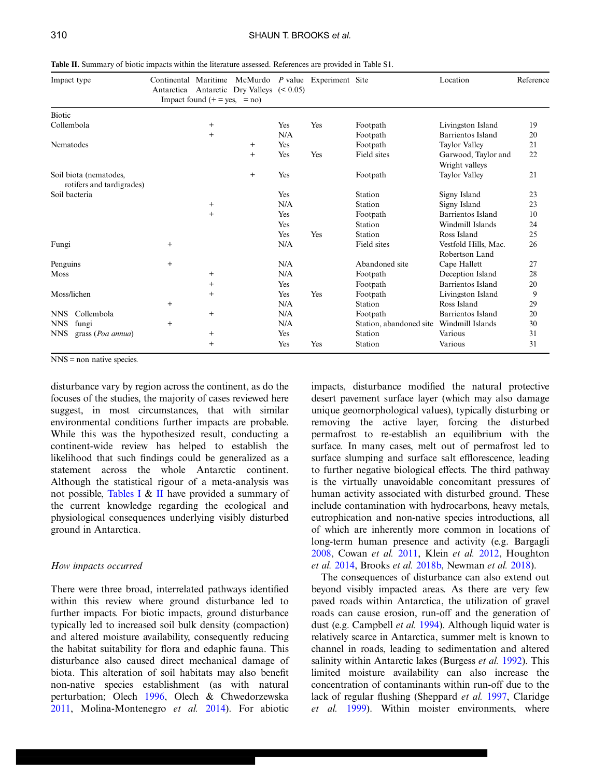| Impact type                                         | Continental Maritime<br>Antarctica | Impact found $(+) = yes, = no)$ | Antarctic Dry Valleys $(0.05)$ |     | McMurdo P value Experiment Site |                         | Location                               | Reference |
|-----------------------------------------------------|------------------------------------|---------------------------------|--------------------------------|-----|---------------------------------|-------------------------|----------------------------------------|-----------|
| Biotic                                              |                                    |                                 |                                |     |                                 |                         |                                        |           |
| Collembola                                          |                                    | $^{+}$                          |                                | Yes | Yes                             | Footpath                | Livingston Island                      | 19        |
|                                                     |                                    | $^{+}$                          |                                | N/A |                                 | Footpath                | Barrientos Island                      | 20        |
| Nematodes                                           |                                    |                                 | $^{+}$                         | Yes |                                 | Footpath                | Taylor Valley                          | 21        |
|                                                     |                                    |                                 | $\ddot{}$                      | Yes | Yes                             | Field sites             | Garwood, Taylor and<br>Wright valleys  | 22        |
| Soil biota (nematodes,<br>rotifers and tardigrades) |                                    |                                 | $^{+}$                         | Yes |                                 | Footpath                | Taylor Valley                          | 21        |
| Soil bacteria                                       |                                    |                                 |                                | Yes |                                 | Station                 | Signy Island                           | 23        |
|                                                     |                                    | $^{+}$                          |                                | N/A |                                 | Station                 | Signy Island                           | 23        |
|                                                     |                                    | $^{+}$                          |                                | Yes |                                 | Footpath                | Barrientos Island                      | 10        |
|                                                     |                                    |                                 |                                | Yes |                                 | Station                 | Windmill Islands                       | 24        |
|                                                     |                                    |                                 |                                | Yes | Yes                             | Station                 | Ross Island                            | 25        |
| Fungi                                               | $\ddot{}$                          |                                 |                                | N/A |                                 | Field sites             | Vestfold Hills, Mac.<br>Robertson Land | 26        |
| Penguins                                            | $^{+}$                             |                                 |                                | N/A |                                 | Abandoned site          | Cape Hallett                           | 27        |
| Moss                                                |                                    | $^{+}$                          |                                | N/A |                                 | Footpath                | Deception Island                       | 28        |
|                                                     |                                    | $^{+}$                          |                                | Yes |                                 | Footpath                | Barrientos Island                      | 20        |
| Moss/lichen                                         |                                    | $^{+}$                          |                                | Yes | Yes                             | Footpath                | Livingston Island                      | 9         |
|                                                     | $^{+}$                             |                                 |                                | N/A |                                 | Station                 | Ross Island                            | 29        |
| Collembola<br><b>NNS</b>                            |                                    | $^{+}$                          |                                | N/A |                                 | Footpath                | <b>Barrientos Island</b>               | 20        |
| <b>NNS</b><br>fungi                                 | $\overline{+}$                     |                                 |                                | N/A |                                 | Station, abandoned site | Windmill Islands                       | 30        |
| <b>NNS</b><br>grass (Poa annua)                     |                                    | $^{+}$                          |                                | Yes |                                 | Station                 | Various                                | 31        |
|                                                     |                                    | $^{+}$                          |                                | Yes | Yes                             | Station                 | Various                                | 31        |

<span id="page-6-0"></span>Table II. Summary of biotic impacts within the literature assessed. References are provided in Table S1.

NNS = non native species.

disturbance vary by region across the continent, as do the focuses of the studies, the majority of cases reviewed here suggest, in most circumstances, that with similar environmental conditions further impacts are probable. While this was the hypothesized result, conducting a continent-wide review has helped to establish the likelihood that such findings could be generalized as a statement across the whole Antarctic continent. Although the statistical rigour of a meta-analysis was not possible, [Tables I](#page-5-0) & II have provided a summary of the current knowledge regarding the ecological and physiological consequences underlying visibly disturbed ground in Antarctica.

# How impacts occurred

There were three broad, interrelated pathways identified within this review where ground disturbance led to further impacts. For biotic impacts, ground disturbance typically led to increased soil bulk density (compaction) and altered moisture availability, consequently reducing the habitat suitability for flora and edaphic fauna. This disturbance also caused direct mechanical damage of biota. This alteration of soil habitats may also benefit non-native species establishment (as with natural perturbation; Olech [1996,](#page-9-0) Olech & Chwedorzewska [2011](#page-9-0), Molina-Montenegro et al. [2014](#page-9-0)). For abiotic

impacts, disturbance modified the natural protective desert pavement surface layer (which may also damage unique geomorphological values), typically disturbing or removing the active layer, forcing the disturbed permafrost to re-establish an equilibrium with the surface. In many cases, melt out of permafrost led to surface slumping and surface salt efflorescence, leading to further negative biological effects. The third pathway is the virtually unavoidable concomitant pressures of human activity associated with disturbed ground. These include contamination with hydrocarbons, heavy metals, eutrophication and non-native species introductions, all of which are inherently more common in locations of long-term human presence and activity (e.g. Bargagli [2008](#page-8-0), Cowan et al. [2011,](#page-9-0) Klein et al. [2012](#page-9-0), Houghton et al. [2014,](#page-9-0) Brooks et al. [2018b,](#page-8-0) Newman et al. [2018\)](#page-9-0).

The consequences of disturbance can also extend out beyond visibly impacted areas. As there are very few paved roads within Antarctica, the utilization of gravel roads can cause erosion, run-off and the generation of dust (e.g. Campbell *et al.* [1994\)](#page-8-0). Although liquid water is relatively scarce in Antarctica, summer melt is known to channel in roads, leading to sedimentation and altered salinity within Antarctic lakes (Burgess et al. [1992](#page-8-0)). This limited moisture availability can also increase the concentration of contaminants within run-off due to the lack of regular flushing (Sheppard *et al.* [1997,](#page-9-0) Claridge et al. [1999\)](#page-9-0). Within moister environments, where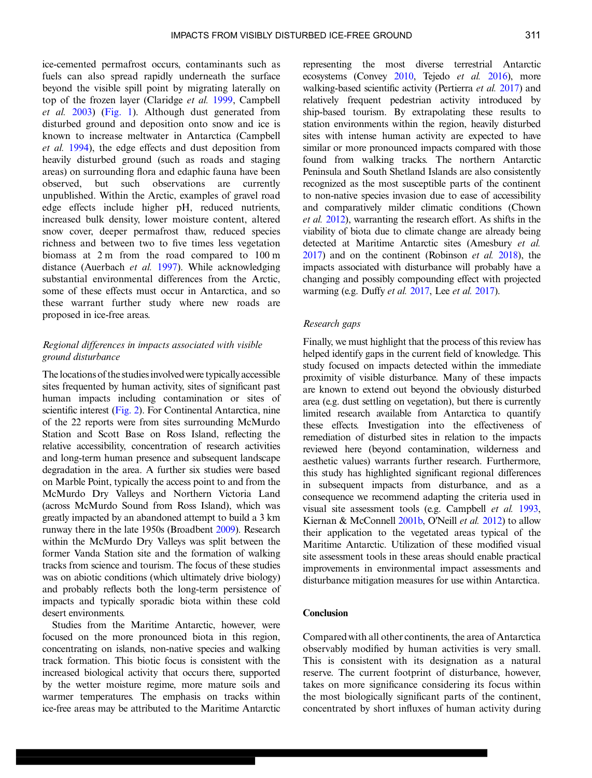ice-cemented permafrost occurs, contaminants such as fuels can also spread rapidly underneath the surface beyond the visible spill point by migrating laterally on top of the frozen layer (Claridge et al. [1999](#page-9-0), Campbell et al. [2003\)](#page-8-0) [\(Fig. 1](#page-1-0)). Although dust generated from disturbed ground and deposition onto snow and ice is known to increase meltwater in Antarctica (Campbell et al. [1994](#page-8-0)), the edge effects and dust deposition from heavily disturbed ground (such as roads and staging areas) on surrounding flora and edaphic fauna have been observed, but such observations are currently unpublished. Within the Arctic, examples of gravel road edge effects include higher pH, reduced nutrients, increased bulk density, lower moisture content, altered snow cover, deeper permafrost thaw, reduced species richness and between two to five times less vegetation biomass at 2 m from the road compared to 100 m distance (Auerbach et al. [1997](#page-8-0)). While acknowledging substantial environmental differences from the Arctic, some of these effects must occur in Antarctica, and so these warrant further study where new roads are proposed in ice-free areas.

# Regional differences in impacts associated with visible ground disturbance

The locations of the studies involvedwere typically accessible sites frequented by human activity, sites of significant past human impacts including contamination or sites of scientific interest ([Fig. 2\)](#page-2-0). For Continental Antarctica, nine of the 22 reports were from sites surrounding McMurdo Station and Scott Base on Ross Island, reflecting the relative accessibility, concentration of research activities and long-term human presence and subsequent landscape degradation in the area. A further six studies were based on Marble Point, typically the access point to and from the McMurdo Dry Valleys and Northern Victoria Land (across McMurdo Sound from Ross Island), which was greatly impacted by an abandoned attempt to build a 3 km runway there in the late 1950s (Broadbent [2009\)](#page-8-0). Research within the McMurdo Dry Valleys was split between the former Vanda Station site and the formation of walking tracks from science and tourism. The focus of these studies was on abiotic conditions (which ultimately drive biology) and probably reflects both the long-term persistence of impacts and typically sporadic biota within these cold desert environments.

Studies from the Maritime Antarctic, however, were focused on the more pronounced biota in this region, concentrating on islands, non-native species and walking track formation. This biotic focus is consistent with the increased biological activity that occurs there, supported by the wetter moisture regime, more mature soils and warmer temperatures. The emphasis on tracks within ice-free areas may be attributed to the Maritime Antarctic

representing the most diverse terrestrial Antarctic ecosystems (Convey [2010](#page-9-0), Tejedo et al. [2016\)](#page-10-0), more walking-based scientific activity (Pertierra et al. [2017](#page-9-0)) and relatively frequent pedestrian activity introduced by ship-based tourism. By extrapolating these results to station environments within the region, heavily disturbed sites with intense human activity are expected to have similar or more pronounced impacts compared with those found from walking tracks. The northern Antarctic Peninsula and South Shetland Islands are also consistently recognized as the most susceptible parts of the continent to non-native species invasion due to ease of accessibility and comparatively milder climatic conditions (Chown et al. [2012](#page-9-0)), warranting the research effort. As shifts in the viability of biota due to climate change are already being detected at Maritime Antarctic sites (Amesbury et al.  $2017$ ) and on the continent (Robinson *et al.* [2018](#page-9-0)), the impacts associated with disturbance will probably have a changing and possibly compounding effect with projected warming (e.g. Duffy *et al.* [2017](#page-9-0), Lee *et al.* [2017\)](#page-9-0).

# Research gaps

Finally, we must highlight that the process of this review has helped identify gaps in the current field of knowledge. This study focused on impacts detected within the immediate proximity of visible disturbance. Many of these impacts are known to extend out beyond the obviously disturbed area (e.g. dust settling on vegetation), but there is currently limited research available from Antarctica to quantify these effects. Investigation into the effectiveness of remediation of disturbed sites in relation to the impacts reviewed here (beyond contamination, wilderness and aesthetic values) warrants further research. Furthermore, this study has highlighted significant regional differences in subsequent impacts from disturbance, and as a consequence we recommend adapting the criteria used in visual site assessment tools (e.g. Campbell et al. [1993,](#page-8-0) Kiernan & McConnell  $2001b$ , O'Neill *et al.* [2012](#page-9-0)) to allow their application to the vegetated areas typical of the Maritime Antarctic. Utilization of these modified visual site assessment tools in these areas should enable practical improvements in environmental impact assessments and disturbance mitigation measures for use within Antarctica.

# Conclusion

Compared with all other continents, the area of Antarctica observably modified by human activities is very small. This is consistent with its designation as a natural reserve. The current footprint of disturbance, however, takes on more significance considering its focus within the most biologically significant parts of the continent, concentrated by short influxes of human activity during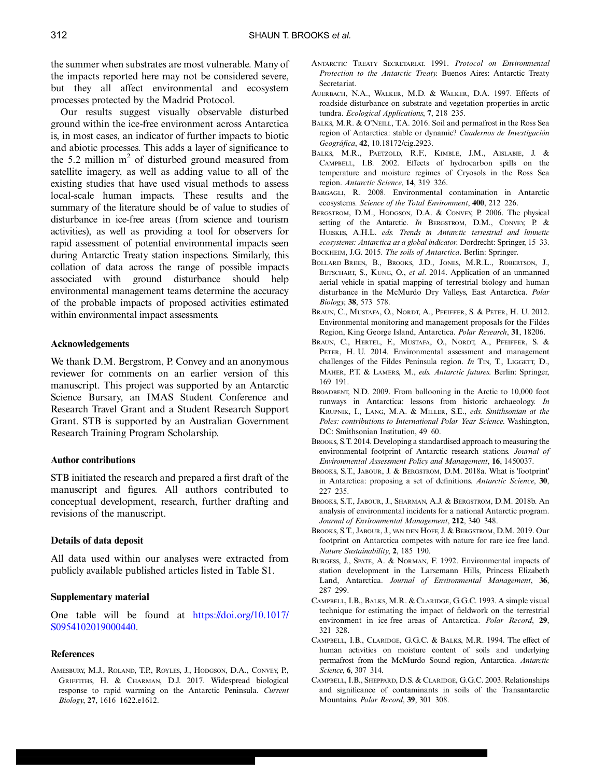<span id="page-8-0"></span>the summer when substrates are most vulnerable. Many of the impacts reported here may not be considered severe, but they all affect environmental and ecosystem processes protected by the Madrid Protocol.

Our results suggest visually observable disturbed ground within the ice-free environment across Antarctica is, in most cases, an indicator of further impacts to biotic and abiotic processes. This adds a layer of significance to the 5.2 million  $m<sup>2</sup>$  of disturbed ground measured from satellite imagery, as well as adding value to all of the existing studies that have used visual methods to assess local-scale human impacts. These results and the summary of the literature should be of value to studies of disturbance in ice-free areas (from science and tourism activities), as well as providing a tool for observers for rapid assessment of potential environmental impacts seen during Antarctic Treaty station inspections. Similarly, this collation of data across the range of possible impacts associated with ground disturbance should help environmental management teams determine the accuracy of the probable impacts of proposed activities estimated within environmental impact assessments.

# Acknowledgements

We thank D.M. Bergstrom, P. Convey and an anonymous reviewer for comments on an earlier version of this manuscript. This project was supported by an Antarctic Science Bursary, an IMAS Student Conference and Research Travel Grant and a Student Research Support Grant. STB is supported by an Australian Government Research Training Program Scholarship.

#### Author contributions

STB initiated the research and prepared a first draft of the manuscript and figures. All authors contributed to conceptual development, research, further drafting and revisions of the manuscript.

#### Details of data deposit

All data used within our analyses were extracted from publicly available published articles listed in Table S1.

#### Supplementary material

One table will be found at https://doi.org/10.1017/ S0954102019000440.

# **References**

AMESBURY, M.J., ROLAND, T.P., ROYLES, J., HODGSON, D.A., CONVEY, P., GRIFFITHS, H. & CHARMAN, D.J. 2017. Widespread biological response to rapid warming on the Antarctic Peninsula. Current Biology, 27, 1616 1622.e1612.

- ANTARCTIC TREATY SECRETARIAT. 1991. Protocol on Environmental Protection to the Antarctic Treaty. Buenos Aires: Antarctic Treaty **Secretariat**
- AUERBACH, N.A., WALKER, M.D. & WALKER, D.A. 1997. Effects of roadside disturbance on substrate and vegetation properties in arctic tundra. Ecological Applications, 7, 218 235.
- BALKS, M.R. & O'NEILL, T.A. 2016. Soil and permafrost in the Ross Sea region of Antarctica: stable or dynamic? Cuadernos de Investigación Geográfica, 42, 10.18172/cig.2923.
- BALKS, M.R., PAETZOLD, R.F., KIMBLE, J.M., AISLABIE, J. & CAMPBELL, I.B. 2002. Effects of hydrocarbon spills on the temperature and moisture regimes of Cryosols in the Ross Sea region. Antarctic Science, 14, 319 326.
- BARGAGLI, R. 2008. Environmental contamination in Antarctic ecosystems. Science of the Total Environment, 400, 212 226.
- BERGSTROM, D.M., HODGSON, D.A. & CONVEY, P. 2006. The physical setting of the Antarctic. In BERGSTROM, D.M., CONVEY, P. & HUISKES, A.H.L. eds. Trends in Antarctic terrestrial and limnetic ecosystems: Antarctica as a global indicator. Dordrecht: Springer, 15 33. BOCKHEIM, J.G. 2015. The soils of Antarctica. Berlin: Springer.
- BOLLARD BREEN, B., BROOKS, J.D., JONES, M.R.L., ROBERTSON, J., BETSCHART, S., KUNG, O., et al. 2014. Application of an unmanned aerial vehicle in spatial mapping of terrestrial biology and human disturbance in the McMurdo Dry Valleys, East Antarctica. Polar Biology, 38, 573 578.
- BRAUN, C., MUSTAFA, O., NORDT, A., PFEIFFER, S. & PETER, H. U. 2012. Environmental monitoring and management proposals for the Fildes Region, King George Island, Antarctica. Polar Research, 31, 18206.
- BRAUN, C., HERTEL, F., MUSTAFA, O., NORDT, A., PFEIFFER, S. & PETER, H. U. 2014. Environmental assessment and management challenges of the Fildes Peninsula region. In TIN, T., LIGGETT, D., MAHER, P.T. & LAMERS, M., eds. Antarctic futures. Berlin: Springer, 169 191.
- BROADBENT, N.D. 2009. From ballooning in the Arctic to 10,000 foot runways in Antarctica: lessons from historic archaeology. In KRUPNIK, I., LANG, M.A. & MILLER, S.E., eds. Smithsonian at the Poles: contributions to International Polar Year Science. Washington, DC: Smithsonian Institution, 49 60.
- BROOKS, S.T. 2014. Developing a standardised approach to measuring the environmental footprint of Antarctic research stations. Journal of Environmental Assessment Policy and Management, 16, 1450037.
- BROOKS, S.T., JABOUR, J. & BERGSTROM, D.M. 2018a. What is 'footprint' in Antarctica: proposing a set of definitions. Antarctic Science, 30, 227 235.
- BROOKS, S.T., JABOUR, J., SHARMAN, A.J. & BERGSTROM, D.M. 2018b. An analysis of environmental incidents for a national Antarctic program. Journal of Environmental Management, 212, 340 348.
- BROOKS, S.T., JABOUR, J., VAN DEN HOFF, J. & BERGSTROM, D.M. 2019. Our footprint on Antarctica competes with nature for rare ice free land. Nature Sustainability, 2, 185 190.
- BURGESS, J., SPATE, A. & NORMAN, F. 1992. Environmental impacts of station development in the Larsemann Hills, Princess Elizabeth Land, Antarctica. Journal of Environmental Management, 36, 287 299.
- CAMPBELL, I.B., BALKS, M.R. & CLARIDGE, G.G.C. 1993. A simple visual technique for estimating the impact of fieldwork on the terrestrial environment in ice free areas of Antarctica. Polar Record, 29, 321 328.
- CAMPBELL, I.B., CLARIDGE, G.G.C. & BALKS, M.R. 1994. The effect of human activities on moisture content of soils and underlying permafrost from the McMurdo Sound region, Antarctica. Antarctic Science, 6, 307 314.
- CAMPBELL, I.B., SHEPPARD, D.S. & CLARIDGE, G.G.C. 2003. Relationships and significance of contaminants in soils of the Transantarctic Mountains. Polar Record, 39, 301 308.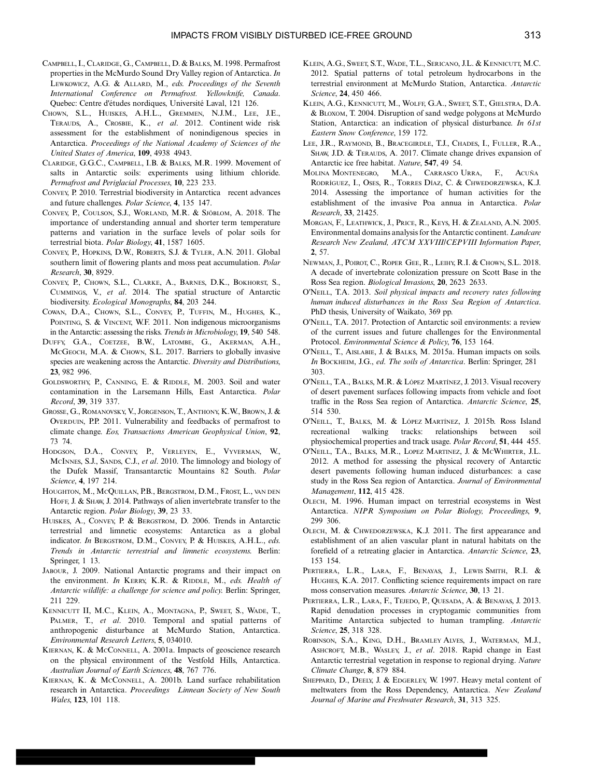- <span id="page-9-0"></span>CAMPBELL, I., CLARIDGE, G., CAMPBELL, D. & BALKS, M. 1998. Permafrost properties in the McMurdo Sound Dry Valley region of Antarctica. In LEWKOWICZ, A.G. & ALLARD, M., eds. Proceedings of the Seventh International Conference on Permafrost. Yellowknife, Canada. Quebec: Centre d'études nordiques, Université Laval, 121 126.
- CHOWN, S.L., HUISKES, A.H.L., GREMMEN, N.J.M., LEE, J.E., TERAUDS, A., CROSBIE, K., et al. 2012. Continent wide risk assessment for the establishment of nonindigenous species in Antarctica. Proceedings of the National Academy of Sciences of the United States of America, 109, 4938 4943.
- CLARIDGE, G.G.C., CAMPBELL, I.B. & BALKS, M.R. 1999. Movement of salts in Antarctic soils: experiments using lithium chloride. Permafrost and Periglacial Processes, 10, 223 233.
- CONVEY, P. 2010. Terrestrial biodiversity in Antarctica recent advances and future challenges. Polar Science, 4, 135 147.
- CONVEY, P., COULSON, S.J., WORLAND, M.R. & SJÖBLOM, A. 2018. The importance of understanding annual and shorter term temperature patterns and variation in the surface levels of polar soils for terrestrial biota. Polar Biology, 41, 1587 1605.
- CONVEY, P., HOPKINS, D.W., ROBERTS, S.J. & TYLER, A.N. 2011. Global southern limit of flowering plants and moss peat accumulation. Polar Research, 30, 8929.
- CONVEY, P., CHOWN, S.L., CLARKE, A., BARNES, D.K., BOKHORST, S., CUMMINGS, V., et al. 2014. The spatial structure of Antarctic biodiversity. Ecological Monographs, 84, 203 244.
- COWAN, D.A., CHOWN, S.L., CONVEY, P., TUFFIN, M., HUGHES, K., POINTING, S. & VINCENT, W.F. 2011. Non indigenous microorganisms in the Antarctic: assessing the risks. Trends in Microbiology, 19, 540 548.
- DUFFY, G.A., COETZEE, B.W., LATOMBE, G., AKERMAN, A.H., MCGEOCH, M.A. & CHOWN, S.L. 2017. Barriers to globally invasive species are weakening across the Antarctic. Diversity and Distributions, 23, 982 996.
- GOLDSWORTHY, P., CANNING, E. & RIDDLE, M. 2003. Soil and water contamination in the Larsemann Hills, East Antarctica. Polar Record, 39, 319 337.
- GROSSE, G., ROMANOVSKY, V., JORGENSON, T., ANTHONY, K.W., BROWN, J. & OVERDUIN, P.P. 2011. Vulnerability and feedbacks of permafrost to climate change. Eos, Transactions American Geophysical Union, 92, 73 74.
- HODGSON, D.A., CONVEY, P., VERLEYEN, E., VYVERMAN, W., MCINNES, S.J., SANDS, C.J., et al. 2010. The limnology and biology of the Dufek Massif, Transantarctic Mountains 82 South. Polar Science, 4, 197 214.
- HOUGHTON, M., MCQUILLAN, P.B., BERGSTROM, D.M., FROST, L., VAN DEN HOFF, J. & SHAW, J. 2014. Pathways of alien invertebrate transfer to the Antarctic region. Polar Biology, 39, 23 33.
- HUISKES, A., CONVEY, P. & BERGSTROM, D. 2006. Trends in Antarctic terrestrial and limnetic ecosystems: Antarctica as a global indicator. In BERGSTROM, D.M., CONVEY, P. & HUISKES, A.H.L., eds. Trends in Antarctic terrestrial and limnetic ecosystems. Berlin: Springer, 1 13.
- JABOUR, J. 2009. National Antarctic programs and their impact on the environment. In KERRY, K.R. & RIDDLE, M., eds. Health of Antarctic wildlife: a challenge for science and policy. Berlin: Springer, 211 229.
- KENNICUTT II, M.C., KLEIN, A., MONTAGNA, P., SWEET, S., WADE, T., PALMER, T., et al. 2010. Temporal and spatial patterns of anthropogenic disturbance at McMurdo Station, Antarctica. Environmental Research Letters, 5, 034010.
- KIERNAN, K. & MCCONNELL, A. 2001a. Impacts of geoscience research on the physical environment of the Vestfold Hills, Antarctica. Australian Journal of Earth Sciences, 48, 767 776.
- KIERNAN, K. & MCCONNELL, A. 2001b. Land surface rehabilitation research in Antarctica. Proceedings Linnean Society of New South Wales, 123, 101 118.
- KLEIN, A.G., SWEET, S.T., WADE, T.L., SERICANO, J.L. & KENNICUTT, M.C. 2012. Spatial patterns of total petroleum hydrocarbons in the terrestrial environment at McMurdo Station, Antarctica. Antarctic Science, 24, 450 466.
- KLEIN, A.G., KENNICUTT, M., WOLFF, G.A., SWEET, S.T., GIELSTRA, D.A. & BLOXOM, T. 2004. Disruption of sand wedge polygons at McMurdo Station, Antarctica: an indication of physical disturbance. In 61st Eastern Snow Conference, 159 172.
- LEE, J.R., RAYMOND, B., BRACEGIRDLE, T.J., CHADES, I., FULLER, R.A., SHAW, J.D. & TERAUDS, A. 2017. Climate change drives expansion of Antarctic ice free habitat. Nature, 547, 49 54.
- MOLINA MONTENEGRO, M.A., CARRASCO URRA, F., ACUÑA RODRÍGUEZ, I., OSES, R., TORRES DÍAZ, C. & CHWEDORZEWSKA, K.J. 2014. Assessing the importance of human activities for the establishment of the invasive Poa annua in Antarctica. Polar Research, 33, 21425.
- MORGAN, F., LEATHWICK, J., PRICE, R., KEYS, H. & ZEALAND, A.N. 2005. Environmental domains analysis for the Antarctic continent. Landcare Research New Zealand, ATCM XXVIII/CEPVIII Information Paper, 2, 57.
- NEWMAN, J., POIROT, C., ROPER GEE, R., LEIHY, R.I. & CHOWN, S.L. 2018. A decade of invertebrate colonization pressure on Scott Base in the Ross Sea region. Biological Invasions, 20, 2623 2633.
- O'NEILL, T.A. 2013. Soil physical impacts and recovery rates following human induced disturbances in the Ross Sea Region of Antarctica. PhD thesis, University of Waikato, 369 pp.
- O'NEILL, T.A. 2017. Protection of Antarctic soil environments: a review of the current issues and future challenges for the Environmental Protocol. Environmental Science & Policy, 76, 153 164.
- O'NEILL, T., AISLABIE, J. & BALKS, M. 2015a. Human impacts on soils. In BOCKHEIM, J.G., ed. The soils of Antarctica. Berlin: Springer, 281 303.
- O'NEILL, T.A., BALKS, M.R. & LÓPEZ MARTÍNEZ, J. 2013. Visual recovery of desert pavement surfaces following impacts from vehicle and foot traffic in the Ross Sea region of Antarctica. Antarctic Science, 25, 514 530.
- O'NEILL, T., BALKS, M. & LÓPEZ MARTÍNEZ, J. 2015b. Ross Island recreational walking tracks: relationships between soil physiochemical properties and track usage. Polar Record, 51, 444 455.
- O'NEILL, T.A., BALKS, M.R., LOPEZ MARTINEZ, J. & MCWHIRTER, J.L. 2012. A method for assessing the physical recovery of Antarctic desert pavements following human induced disturbances: a case study in the Ross Sea region of Antarctica. Journal of Environmental Management, 112, 415 428.
- OLECH, M. 1996. Human impact on terrestrial ecosystems in West Antarctica. NIPR Symposium on Polar Biology, Proceedings, 9, 299 306.
- OLECH, M. & CHWEDORZEWSKA, K.J. 2011. The first appearance and establishment of an alien vascular plant in natural habitats on the forefield of a retreating glacier in Antarctica. Antarctic Science, 23, 153 154.
- PERTIERRA, L.R., LARA, F., BENAYAS, J., LEWIS SMITH, R.I. & HUGHES, K.A. 2017. Conflicting science requirements impact on rare moss conservation measures. Antarctic Science, 30, 13 21.
- PERTIERRA, L.R., LARA, F., TEJEDO, P., QUESADA, A. & BENAYAS, J. 2013. Rapid denudation processes in cryptogamic communities from Maritime Antarctica subjected to human trampling. Antarctic Science, 25, 318 328.
- ROBINSON, S.A., KING, D.H., BRAMLEY ALVES, J., WATERMAN, M.J., ASHCROFT, M.B., WASLEY, J., et al. 2018. Rapid change in East Antarctic terrestrial vegetation in response to regional drying. Nature Climate Change, 8, 879 884.
- SHEPPARD, D., DEELY, J. & EDGERLEY, W. 1997. Heavy metal content of meltwaters from the Ross Dependency, Antarctica. New Zealand Journal of Marine and Freshwater Research, 31, 313 325.